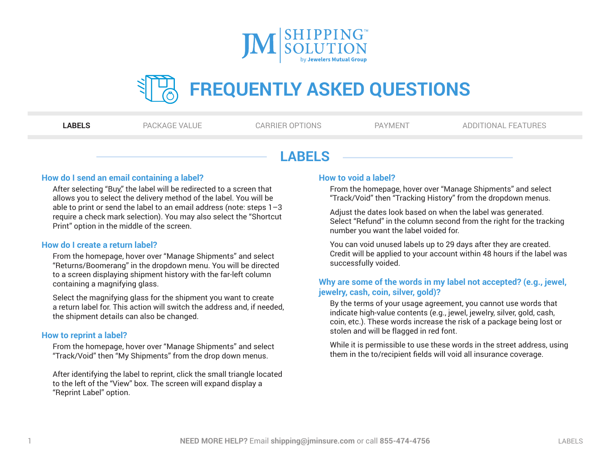

<span id="page-0-0"></span>

|--|--|

**LABELS** [PACKAGE VALUE](#page-1-0) [CARRIER OPTIONS](#page-2-0) [PAYMENT](#page-3-0) [ADDITIONAL FEATURES](#page-4-0)

# **LABELS**

#### **How do I send an email containing a label?**

After selecting "Buy," the label will be redirected to a screen that allows you to select the delivery method of the label. You will be able to print or send the label to an email address (note: steps 1–3 require a check mark selection). You may also select the "Shortcut Print" option in the middle of the screen.

#### **How do I create a return label?**

From the homepage, hover over "Manage Shipments" and select "Returns/Boomerang" in the dropdown menu. You will be directed to a screen displaying shipment history with the far-left column containing a magnifying glass.

Select the magnifying glass for the shipment you want to create a return label for. This action will switch the address and, if needed, the shipment details can also be changed.

## **How to reprint a label?**

From the homepage, hover over "Manage Shipments" and select "Track/Void" then "My Shipments" from the drop down menus.

After identifying the label to reprint, click the small triangle located to the left of the "View" box. The screen will expand display a "Reprint Label" option.

#### **How to void a label?**

From the homepage, hover over "Manage Shipments" and select "Track/Void" then "Tracking History" from the dropdown menus.

Adjust the dates look based on when the label was generated. Select "Refund" in the column second from the right for the tracking number you want the label voided for.

You can void unused labels up to 29 days after they are created. Credit will be applied to your account within 48 hours if the label was successfully voided.

## **Why are some of the words in my label not accepted? (e.g., jewel, jewelry, cash, coin, silver, gold)?**

By the terms of your usage agreement, you cannot use words that indicate high-value contents (e.g., jewel, jewelry, silver, gold, cash, coin, etc.). These words increase the risk of a package being lost or stolen and will be flagged in red font.

While it is permissible to use these words in the street address, using them in the to/recipient fields will void all insurance coverage.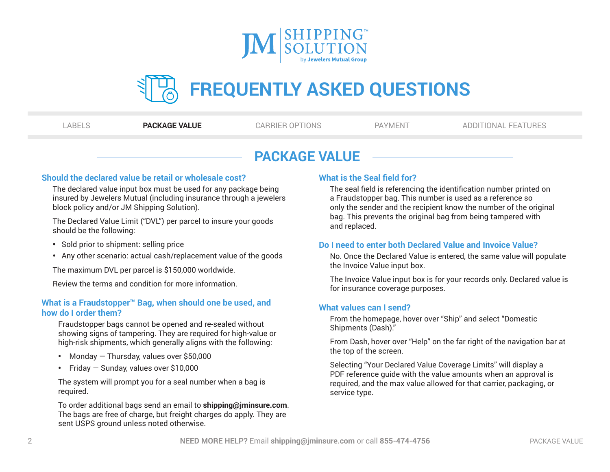

<span id="page-1-0"></span>

|--|--|--|--|--|

[LABELS](#page-0-0) **PACKAGE VALUE** [CARRIER OPTIONS](#page-2-0) [PAYMENT](#page-3-0) [ADDITIONAL FEATURES](#page-4-0)

# **PACKAGE VALUE**

#### **Should the declared value be retail or wholesale cost?**

The declared value input box must be used for any package being insured by Jewelers Mutual (including insurance through a jewelers block policy and/or JM Shipping Solution).

The Declared Value Limit ("DVL") per parcel to insure your goods should be the following:

- Sold prior to shipment: selling price
- Any other scenario: actual cash/replacement value of the goods

The maximum DVL per parcel is \$150,000 worldwide.

Review the terms and condition for more information.

## **What is a Fraudstopper™ Bag, when should one be used, and how do I order them?**

Fraudstopper bags cannot be opened and re-sealed without showing signs of tampering. They are required for high-value or high-risk shipments, which generally aligns with the following:

- Monday Thursday, values over \$50,000
- Friday Sunday, values over \$10,000

The system will prompt you for a seal number when a bag is required.

To order additional bags send an email to **shipping@jminsure.com**. The bags are free of charge, but freight charges do apply. They are sent USPS ground unless noted otherwise.

# **What is the Seal field for?**

The seal field is referencing the identification number printed on a Fraudstopper bag. This number is used as a reference so only the sender and the recipient know the number of the original bag. This prevents the original bag from being tampered with and replaced.

## **Do I need to enter both Declared Value and Invoice Value?**

No. Once the Declared Value is entered, the same value will populate the Invoice Value input box.

The Invoice Value input box is for your records only. Declared value is for insurance coverage purposes.

## **What values can I send?**

From the homepage, hover over "Ship" and select "Domestic Shipments (Dash)."

From Dash, hover over "Help" on the far right of the navigation bar at the top of the screen.

Selecting "Your Declared Value Coverage Limits" will display a PDF reference guide with the value amounts when an approval is required, and the max value allowed for that carrier, packaging, or service type.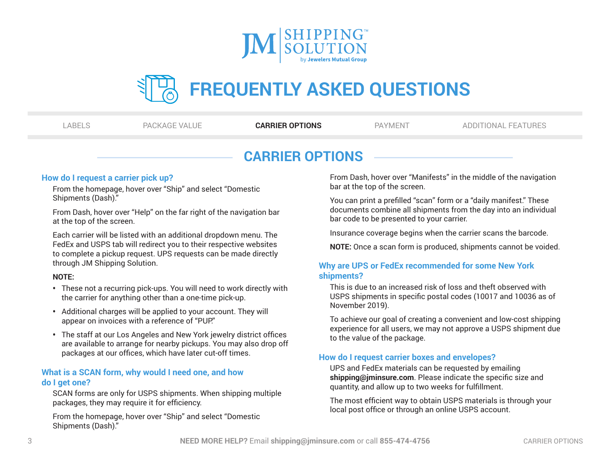

<span id="page-2-0"></span>

| ٠ |  |
|---|--|
|---|--|

[LABELS](#page-0-0) [PACKAGE VALUE](#page-1-0) **CARRIER OPTIONS** [PAYMENT](#page-3-0) [ADDITIONAL FEATURES](#page-4-0)

# **CARRIER OPTIONS**

#### **How do I request a carrier pick up?**

From the homepage, hover over "Ship" and select "Domestic Shipments (Dash)."

From Dash, hover over "Help" on the far right of the navigation bar at the top of the screen.

Each carrier will be listed with an additional dropdown menu. The FedEx and USPS tab will redirect you to their respective websites to complete a pickup request. UPS requests can be made directly through JM Shipping Solution.

#### **NOTE:**

- These not a recurring pick-ups. You will need to work directly with the carrier for anything other than a one-time pick-up.
- Additional charges will be applied to your account. They will appear on invoices with a reference of "PUP."
- The staff at our Los Angeles and New York jewelry district offices are available to arrange for nearby pickups. You may also drop off packages at our offices, which have later cut-off times.

#### **What is a SCAN form, why would I need one, and how do I get one?**

SCAN forms are only for USPS shipments. When shipping multiple packages, they may require it for efficiency.

From the homepage, hover over "Ship" and select "Domestic Shipments (Dash)."

From Dash, hover over "Manifests" in the middle of the navigation bar at the top of the screen.

You can print a prefilled "scan" form or a "daily manifest." These documents combine all shipments from the day into an individual bar code to be presented to your carrier.

Insurance coverage begins when the carrier scans the barcode.

**NOTE:** Once a scan form is produced, shipments cannot be voided.

## **Why are UPS or FedEx recommended for some New York shipments?**

This is due to an increased risk of loss and theft observed with USPS shipments in specific postal codes (10017 and 10036 as of November 2019).

To achieve our goal of creating a convenient and low-cost shipping experience for all users, we may not approve a USPS shipment due to the value of the package.

## **How do I request carrier boxes and envelopes?**

UPS and FedEx materials can be requested by emailing **shipping@jminsure.com**. Please indicate the specific size and quantity, and allow up to two weeks for fulfillment.

The most efficient way to obtain USPS materials is through your local post office or through an online USPS account.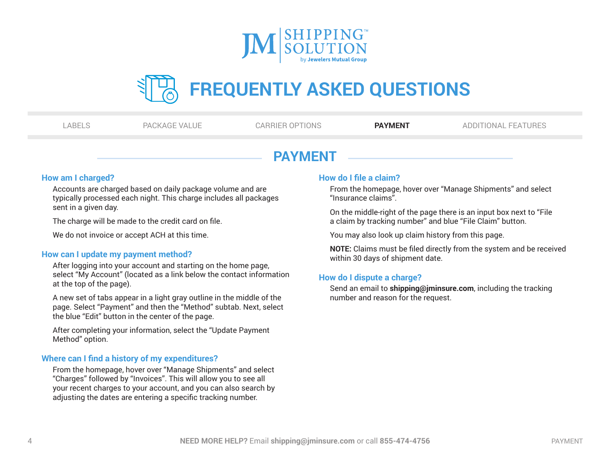

<span id="page-3-0"></span>

|  | n a | ٠ |
|--|-----|---|
|--|-----|---|

[LABELS](#page-0-0) [PACKAGE VALUE](#page-1-0) [CARRIER OPTIONS](#page-2-0) **PAYMENT** [ADDITIONAL FEATURES](#page-4-0)

# **PAYMENT**

#### **How am I charged?**

Accounts are charged based on daily package volume and are typically processed each night. This charge includes all packages sent in a given day.

The charge will be made to the credit card on file.

We do not invoice or accept ACH at this time.

## **How can I update my payment method?**

After logging into your account and starting on the home page, select "My Account" (located as a link below the contact information at the top of the page).

A new set of tabs appear in a light gray outline in the middle of the page. Select "Payment" and then the "Method" subtab. Next, select the blue "Edit" button in the center of the page.

After completing your information, select the "Update Payment Method" option.

## **Where can I find a history of my expenditures?**

From the homepage, hover over "Manage Shipments" and select "Charges" followed by "Invoices". This will allow you to see all your recent charges to your account, and you can also search by adjusting the dates are entering a specific tracking number.

#### **How do I file a claim?**

From the homepage, hover over "Manage Shipments" and select "Insurance claims".

On the middle-right of the page there is an input box next to "File a claim by tracking number" and blue "File Claim" button.

You may also look up claim history from this page.

**NOTE:** Claims must be filed directly from the system and be received within 30 days of shipment date.

#### **How do I dispute a charge?**

Send an email to **shipping@jminsure.com**, including the tracking number and reason for the request.